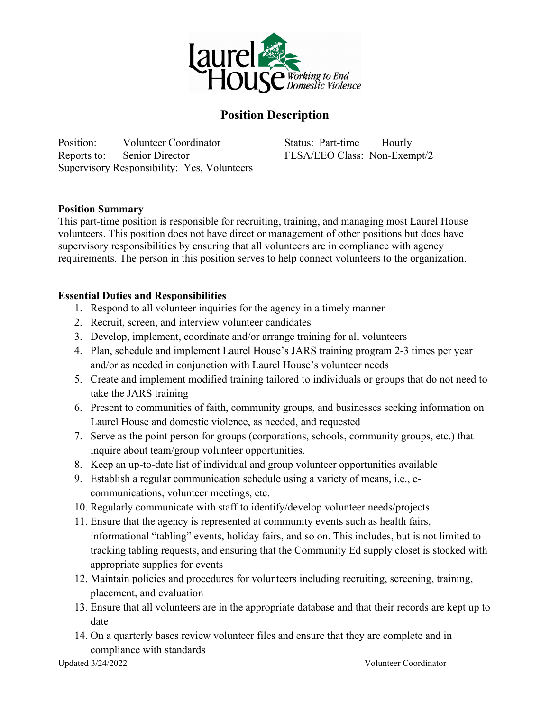

## **Position Description**

Position: Volunteer Coordinator Status: Part-time Hourly Reports to: Senior Director FLSA/EEO Class: Non-Exempt/2 Supervisory Responsibility: Yes, Volunteers

## **Position Summary**

This part-time position is responsible for recruiting, training, and managing most Laurel House volunteers. This position does not have direct or management of other positions but does have supervisory responsibilities by ensuring that all volunteers are in compliance with agency requirements. The person in this position serves to help connect volunteers to the organization.

## **Essential Duties and Responsibilities**

- 1. Respond to all volunteer inquiries for the agency in a timely manner
- 2. Recruit, screen, and interview volunteer candidates
- 3. Develop, implement, coordinate and/or arrange training for all volunteers
- 4. Plan, schedule and implement Laurel House's JARS training program 2-3 times per year and/or as needed in conjunction with Laurel House's volunteer needs
- 5. Create and implement modified training tailored to individuals or groups that do not need to take the JARS training
- 6. Present to communities of faith, community groups, and businesses seeking information on Laurel House and domestic violence, as needed, and requested
- 7. Serve as the point person for groups (corporations, schools, community groups, etc.) that inquire about team/group volunteer opportunities.
- 8. Keep an up-to-date list of individual and group volunteer opportunities available
- 9. Establish a regular communication schedule using a variety of means, i.e., ecommunications, volunteer meetings, etc.
- 10. Regularly communicate with staff to identify/develop volunteer needs/projects
- 11. Ensure that the agency is represented at community events such as health fairs, informational "tabling" events, holiday fairs, and so on. This includes, but is not limited to tracking tabling requests, and ensuring that the Community Ed supply closet is stocked with appropriate supplies for events
- 12. Maintain policies and procedures for volunteers including recruiting, screening, training, placement, and evaluation
- 13. Ensure that all volunteers are in the appropriate database and that their records are kept up to date
- 14. On a quarterly bases review volunteer files and ensure that they are complete and in compliance with standards